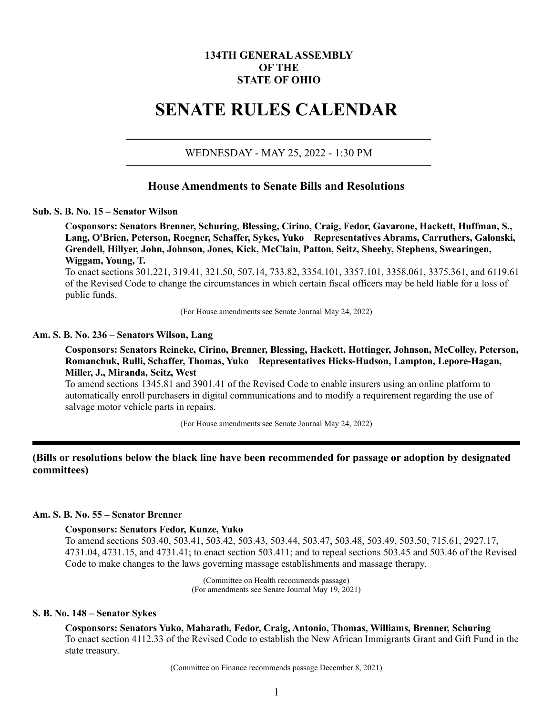# **134TH GENERAL ASSEMBLY OF THE STATE OF OHIO**

# **SENATE RULES CALENDAR**

#### WEDNESDAY - MAY 25, 2022 - 1:30 PM

# **House Amendments to Senate Bills and Resolutions**

#### **Sub. S. B. No. 15 – Senator Wilson**

**Cosponsors: Senators Brenner, Schuring, Blessing, Cirino, Craig, Fedor, Gavarone, Hackett, Huffman, S., Lang, O'Brien, Peterson, Roegner, Schaffer, Sykes, Yuko Representatives Abrams, Carruthers, Galonski, Grendell, Hillyer, John, Johnson, Jones, Kick, McClain, Patton, Seitz, Sheehy, Stephens, Swearingen, Wiggam, Young, T.**

To enact sections 301.221, 319.41, 321.50, 507.14, 733.82, 3354.101, 3357.101, 3358.061, 3375.361, and 6119.61 of the Revised Code to change the circumstances in which certain fiscal officers may be held liable for a loss of public funds.

(For House amendments see Senate Journal May 24, 2022)

#### **Am. S. B. No. 236 – Senators Wilson, Lang**

**Cosponsors: Senators Reineke, Cirino, Brenner, Blessing, Hackett, Hottinger, Johnson, McColley, Peterson, Romanchuk, Rulli, Schaffer, Thomas, Yuko Representatives Hicks-Hudson, Lampton, Lepore-Hagan, Miller, J., Miranda, Seitz, West**

To amend sections 1345.81 and 3901.41 of the Revised Code to enable insurers using an online platform to automatically enroll purchasers in digital communications and to modify a requirement regarding the use of salvage motor vehicle parts in repairs.

(For House amendments see Senate Journal May 24, 2022)

# **(Bills or resolutions below the black line have been recommended for passage or adoption by designated committees)**

#### **Am. S. B. No. 55 – Senator Brenner**

#### **Cosponsors: Senators Fedor, Kunze, Yuko**

To amend sections 503.40, 503.41, 503.42, 503.43, 503.44, 503.47, 503.48, 503.49, 503.50, 715.61, 2927.17, 4731.04, 4731.15, and 4731.41; to enact section 503.411; and to repeal sections 503.45 and 503.46 of the Revised Code to make changes to the laws governing massage establishments and massage therapy.

> (Committee on Health recommends passage) (For amendments see Senate Journal May 19, 2021)

#### **S. B. No. 148 – Senator Sykes**

**Cosponsors: Senators Yuko, Maharath, Fedor, Craig, Antonio, Thomas, Williams, Brenner, Schuring** To enact section 4112.33 of the Revised Code to establish the New African Immigrants Grant and Gift Fund in the state treasury.

(Committee on Finance recommends passage December 8, 2021)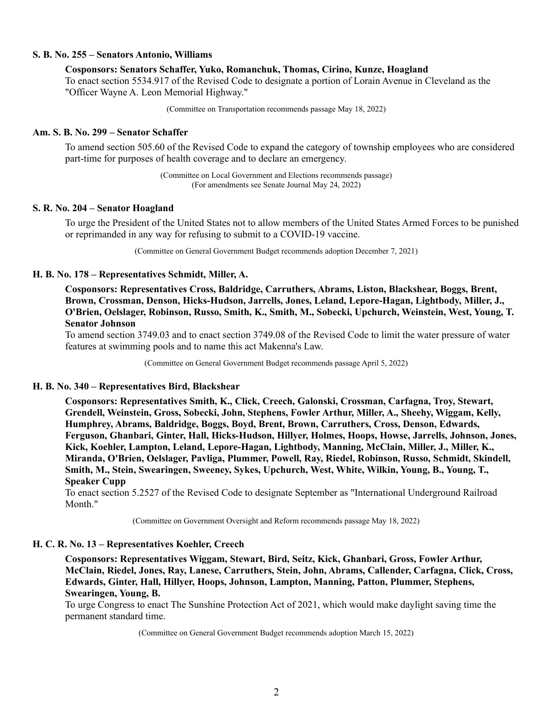#### **S. B. No. 255 – Senators Antonio, Williams**

**Cosponsors: Senators Schaffer, Yuko, Romanchuk, Thomas, Cirino, Kunze, Hoagland** To enact section 5534.917 of the Revised Code to designate a portion of Lorain Avenue in Cleveland as the "Officer Wayne A. Leon Memorial Highway."

(Committee on Transportation recommends passage May 18, 2022)

#### **Am. S. B. No. 299 – Senator Schaffer**

To amend section 505.60 of the Revised Code to expand the category of township employees who are considered part-time for purposes of health coverage and to declare an emergency.

> (Committee on Local Government and Elections recommends passage) (For amendments see Senate Journal May 24, 2022)

## **S. R. No. 204 – Senator Hoagland**

To urge the President of the United States not to allow members of the United States Armed Forces to be punished or reprimanded in any way for refusing to submit to a COVID-19 vaccine.

(Committee on General Government Budget recommends adoption December 7, 2021)

#### **H. B. No. 178 – Representatives Schmidt, Miller, A.**

**Cosponsors: Representatives Cross, Baldridge, Carruthers, Abrams, Liston, Blackshear, Boggs, Brent, Brown, Crossman, Denson, Hicks-Hudson, Jarrells, Jones, Leland, Lepore-Hagan, Lightbody, Miller, J., O'Brien, Oelslager, Robinson, Russo, Smith, K., Smith, M., Sobecki, Upchurch, Weinstein, West, Young, T. Senator Johnson**

To amend section 3749.03 and to enact section 3749.08 of the Revised Code to limit the water pressure of water features at swimming pools and to name this act Makenna's Law.

(Committee on General Government Budget recommends passage April 5, 2022)

## **H. B. No. 340 – Representatives Bird, Blackshear**

**Cosponsors: Representatives Smith, K., Click, Creech, Galonski, Crossman, Carfagna, Troy, Stewart, Grendell, Weinstein, Gross, Sobecki, John, Stephens, Fowler Arthur, Miller, A., Sheehy, Wiggam, Kelly, Humphrey, Abrams, Baldridge, Boggs, Boyd, Brent, Brown, Carruthers, Cross, Denson, Edwards, Ferguson, Ghanbari, Ginter, Hall, Hicks-Hudson, Hillyer, Holmes, Hoops, Howse, Jarrells, Johnson, Jones, Kick, Koehler, Lampton, Leland, Lepore-Hagan, Lightbody, Manning, McClain, Miller, J., Miller, K., Miranda, O'Brien, Oelslager, Pavliga, Plummer, Powell, Ray, Riedel, Robinson, Russo, Schmidt, Skindell, Smith, M., Stein, Swearingen, Sweeney, Sykes, Upchurch, West, White, Wilkin, Young, B., Young, T., Speaker Cupp**

To enact section 5.2527 of the Revised Code to designate September as "International Underground Railroad Month."

(Committee on Government Oversight and Reform recommends passage May 18, 2022)

#### **H. C. R. No. 13 – Representatives Koehler, Creech**

**Cosponsors: Representatives Wiggam, Stewart, Bird, Seitz, Kick, Ghanbari, Gross, Fowler Arthur, McClain, Riedel, Jones, Ray, Lanese, Carruthers, Stein, John, Abrams, Callender, Carfagna, Click, Cross, Edwards, Ginter, Hall, Hillyer, Hoops, Johnson, Lampton, Manning, Patton, Plummer, Stephens, Swearingen, Young, B.**

To urge Congress to enact The Sunshine Protection Act of 2021, which would make daylight saving time the permanent standard time.

(Committee on General Government Budget recommends adoption March 15, 2022)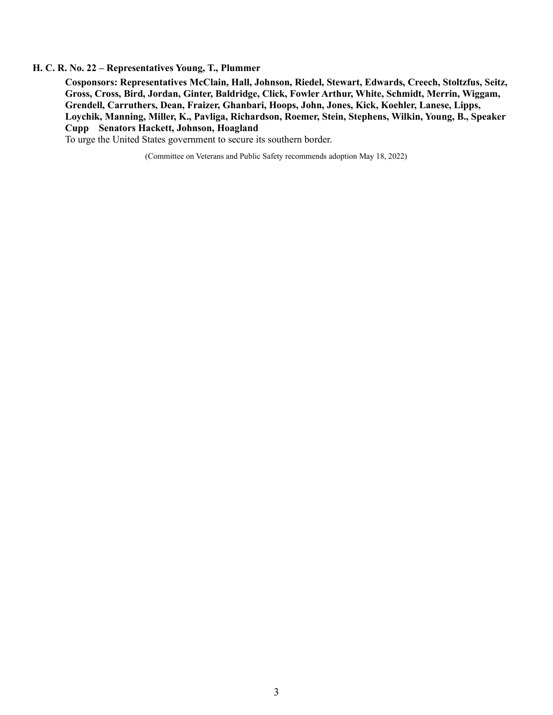#### **H. C. R. No. 22 – Representatives Young, T., Plummer**

**Cosponsors: Representatives McClain, Hall, Johnson, Riedel, Stewart, Edwards, Creech, Stoltzfus, Seitz, Gross, Cross, Bird, Jordan, Ginter, Baldridge, Click, Fowler Arthur, White, Schmidt, Merrin, Wiggam, Grendell, Carruthers, Dean, Fraizer, Ghanbari, Hoops, John, Jones, Kick, Koehler, Lanese, Lipps, Loychik, Manning, Miller, K., Pavliga, Richardson, Roemer, Stein, Stephens, Wilkin, Young, B., Speaker Cupp Senators Hackett, Johnson, Hoagland**

To urge the United States government to secure its southern border.

(Committee on Veterans and Public Safety recommends adoption May 18, 2022)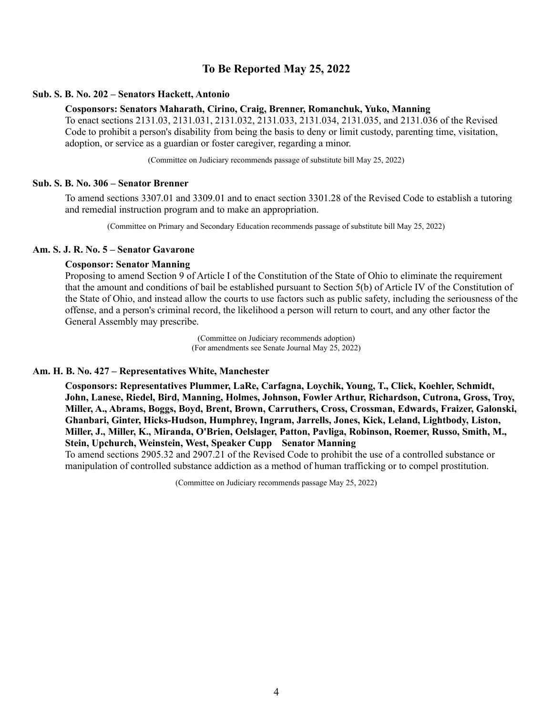# **To Be Reported May 25, 2022**

#### **Sub. S. B. No. 202 – Senators Hackett, Antonio**

#### **Cosponsors: Senators Maharath, Cirino, Craig, Brenner, Romanchuk, Yuko, Manning**

To enact sections 2131.03, 2131.031, 2131.032, 2131.033, 2131.034, 2131.035, and 2131.036 of the Revised Code to prohibit a person's disability from being the basis to deny or limit custody, parenting time, visitation, adoption, or service as a guardian or foster caregiver, regarding a minor.

(Committee on Judiciary recommends passage of substitute bill May 25, 2022)

#### **Sub. S. B. No. 306 – Senator Brenner**

To amend sections 3307.01 and 3309.01 and to enact section 3301.28 of the Revised Code to establish a tutoring and remedial instruction program and to make an appropriation.

(Committee on Primary and Secondary Education recommends passage of substitute bill May 25, 2022)

#### **Am. S. J. R. No. 5 – Senator Gavarone**

#### **Cosponsor: Senator Manning**

Proposing to amend Section 9 of Article I of the Constitution of the State of Ohio to eliminate the requirement that the amount and conditions of bail be established pursuant to Section 5(b) of Article IV of the Constitution of the State of Ohio, and instead allow the courts to use factors such as public safety, including the seriousness of the offense, and a person's criminal record, the likelihood a person will return to court, and any other factor the General Assembly may prescribe.

> (Committee on Judiciary recommends adoption) (For amendments see Senate Journal May 25, 2022)

#### **Am. H. B. No. 427 – Representatives White, Manchester**

**Cosponsors: Representatives Plummer, LaRe, Carfagna, Loychik, Young, T., Click, Koehler, Schmidt, John, Lanese, Riedel, Bird, Manning, Holmes, Johnson, Fowler Arthur, Richardson, Cutrona, Gross, Troy, Miller, A., Abrams, Boggs, Boyd, Brent, Brown, Carruthers, Cross, Crossman, Edwards, Fraizer, Galonski, Ghanbari, Ginter, Hicks-Hudson, Humphrey, Ingram, Jarrells, Jones, Kick, Leland, Lightbody, Liston, Miller, J., Miller, K., Miranda, O'Brien, Oelslager, Patton, Pavliga, Robinson, Roemer, Russo, Smith, M., Stein, Upchurch, Weinstein, West, Speaker Cupp Senator Manning** 

To amend sections 2905.32 and 2907.21 of the Revised Code to prohibit the use of a controlled substance or manipulation of controlled substance addiction as a method of human trafficking or to compel prostitution.

(Committee on Judiciary recommends passage May 25, 2022)